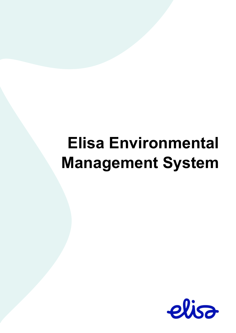# **Elisa Environmental Management System**

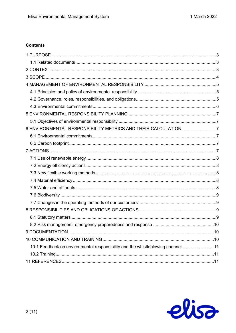# **Contents**

| 6 ENVIRONMENTAL RESPONSIBILITY METRICS AND THEIR CALCULATION7                  |  |
|--------------------------------------------------------------------------------|--|
|                                                                                |  |
|                                                                                |  |
|                                                                                |  |
|                                                                                |  |
|                                                                                |  |
|                                                                                |  |
|                                                                                |  |
|                                                                                |  |
|                                                                                |  |
|                                                                                |  |
|                                                                                |  |
|                                                                                |  |
|                                                                                |  |
|                                                                                |  |
|                                                                                |  |
| 10.1 Feedback on environmental responsibility and the whistleblowing channel11 |  |
|                                                                                |  |
|                                                                                |  |

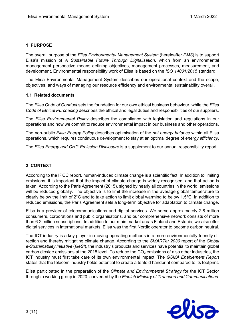# <span id="page-2-0"></span>**1 PURPOSE**

The overall purpose of the *Elisa Environmental Management System* (hereinafter *EMS*) is to support Elisa's mission of *A Sustainable Future Through Digitalisation*, which from an environmental management perspective means defining objectives, management processes, measurement, and development. Environmental responsibility work of Elisa is based on the *ISO 14001:2015* standard.

The Elisa Environmental Management System describes our operational context and the scope, objectives, and ways of managing our resource efficiency and environmental sustainability overall.

## <span id="page-2-1"></span>**1.1 Related documents**

The *Elisa Code of Conduct* sets the foundation for our own ethical business behaviour, while the *Elisa Code of Ethical Purchasing* describes the ethical and legal duties and responsibilities of our suppliers.

The *Elisa Environmental Policy* describes the compliance with legislation and regulations in our operations and how we commit to reduce environmental impact in our business and other operations.

The non-public *Elisa Energy Policy* describes optimisation of the *net energy balance* within all Elisa operations, which requires continuous development to stay at an optimal degree of *energy efficiency*.

The *Elisa Energy and GHG Emission Disclosure* is a supplement to our annual responsibility report.

# <span id="page-2-2"></span>**2 CONTEXT**

According to the IPCC report, human-induced climate change is a scientific fact. In addition to limiting emissions, it is important that the impact of climate change is widely recognised, and that action is taken. According to the Paris Agreement (2015), signed by nearly all countries in the world, emissions will be reduced globally. The objective is to limit the increase in the average global temperature to clearly below the limit of 2°C and to take action to limit global warming to below 1.5°C. In addition to reduced emissions, the Paris Agreement sets a long-term objective for adaptation to climate change.

Elisa is a provider of telecommunications and digital services. We serve approximately 2.8 million consumers, corporations and public organisations, and our comprehensive network consists of more than 6.2 million subscriptions. In addition to our main market areas Finland and Estonia, we also offer digital services in international markets. Elisa was the first Nordic operator to become carbon neutral.

The ICT industry is a key player in moving operating methods in a more environmentally friendly direction and thereby mitigating climate change. According to the *SMARTer 2030* report of the *Global e-Sustainability Initiative* (*GeSI*), the industry's products and services have potential to maintain global carbon dioxide emissions at the 2015 level. To reduce the  $CO<sub>2</sub>$  emissions of also other industries, the ICT industry must first take care of its own environmental impact. The *GSMA Enablement Report* states that the telecom industry holds potential to create a tenfold handprint compared to its footprint.

Elisa participated in the preparation of the *Climate and Environmental Strategy* for the ICT Sector through a working group in 2020, convened by the *Finnish Ministry of Transport and Communications*.

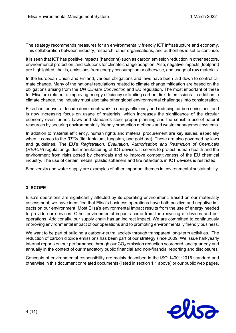The strategy recommends measures for an environmentally friendly ICT infrastructure and economy. This collaboration between industry, research, other organisations, and authorities is set to continue.

It is seen that ICT has positive impacts (handprint) such as carbon emission reduction in other sectors, environmental protection, and solutions for climate change adaption. Also, negative impacts (footprint) are highlighted, that is, emissions from energy consumption or otherwise, and usage of raw materials.

In the European Union and Finland, various obligations and laws have been laid down to control climate change. Many of the national regulations related to climate change mitigation are based on the obligations arising from the *UN Climate Convention* and EU regulation. The most important of these for Elisa are related to improving energy efficiency or limiting carbon dioxide emissions. In addition to climate change, the industry must also take other global environmental challenges into consideration.

Elisa has for over a decade done much work in energy efficiency and reducing carbon emissions, and is now increasing focus on usage of materials, which increases the significance of the circular economy even further. Laws and standards steer proper planning and the sensible use of natural resources by securing environmentally friendly production methods and waste management systems.

In addition to material efficiency, human rights and material procurement are key issues, especially when it comes to the *3TGs* (tin, tantalum, tungsten, and gold ore). These are also governed by laws and guidelines. The EU's *Registration, Evaluation, Authorisation and Restriction of Chemicals* (*REACH*) regulation guides manufacturing of ICT devices. It serves to protect human health and the environment from risks posed by chemicals and to improve competitiveness of the EU chemical industry. The use of certain metals, plastic softeners and fire retardants in ICT devices is restricted.

Biodiversity and water supply are examples of other important themes in environmental sustainability.

# <span id="page-3-0"></span>**3 SCOPE**

Elisa's operations are significantly affected by its operating environment. Based on our materiality assessment, we have identified that Elisa's business operations have both positive and negative impacts on our environment. Most Elisa's environmental impact results from the use of energy needed to provide our services. Other environmental impacts come from the recycling of devices and our operations. Additionally, our supply chain has an indirect impact. We are committed to continuously improving environmental impact of our operations and to promoting environmentally friendly business.

We want to be part of building a carbon-neutral society through transparent long-term activities. The reduction of carbon dioxide emissions has been part of our strategy since 2009. We issue half-yearly internal reports on our performance through our  $CO<sub>2</sub>$  emission reduction scorecard, and quarterly and annually in the context of our mandatory public financial and non-financial reporting and disclosures.

Concepts of environmental responsibility are mainly described in the ISO 14001:2015 standard and otherwise in this document or related documents (listed in section 1.1 above) or our public web pages.

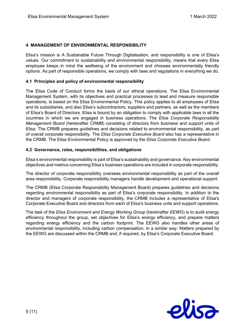## <span id="page-4-0"></span>**4 MANAGEMENT OF ENVIRONMENTAL RESPONSIBILITY**

Elisa's mission is A Sustainable Future Through Digitalisation, and responsibility is one of Elisa's values. Our commitment to sustainability and environmental responsibility, means that every Elisa employee keeps in mind the wellbeing of the environment and chooses environmentally friendly options. As part of responsible operations, we comply with laws and regulations in everything we do.

## <span id="page-4-1"></span>**4.1 Principles and policy of environmental responsibility**

The Elisa Code of Conduct forms the basis of our ethical operations. The Elisa Environmental Management System, with its objectives and practical processes to lead and measure responsible operations, is based on the Elisa Environmental Policy. This policy applies to all employees of Elisa and its subsidiaries, and also Elisa's subcontractors, suppliers and partners, as well as the members of Elisa's Board of Directors. Elisa is bound by an obligation to comply with applicable laws in all the countries in which we are engaged in business operations. The *Elisa Corporate Responsibility Management Board* (hereinafter *CRMB*) consisting of directors from business and support units of Elisa. The CRMB prepares guidelines and decisions related to environmental responsibility, as part of overall corporate responsibility. The *Elisa Corporate Executive Board* also has a representative in the CRMB. The Elisa Environmental Policy is approved by the *Elisa Corporate Executive Board*.

## <span id="page-4-2"></span>**4.2 Governance, roles, responsibilities, and obligations**

Elisa's environmental responsibility is part of Elisa's sustainability and governance. Key environmental objectives and metrics concerning Elisa's business operations are included in corporate responsibility.

The director of corporate responsibility oversees environmental responsibility as part of the overall area responsibility. Corporate responsibility managers handle development and operational support.

The CRMB (Elisa Corporate Responsibility Management Board) prepares guidelines and decisions regarding environmental responsibility as part of Elisa's corporate responsibility. In addition to the director and managers of corporate responsibility, the CRMB includes a representative of Elisa's Corporate Executive Board and directors from each of Elisa's business units and support operations.

The task of the *Elisa Environment and Energy Working Group* (hereinafter *EEWG*) is to audit energy efficiency throughout the group, set objectives for Elisa's energy efficiency, and prepare matters regarding energy efficiency and the carbon footprint. The EEWG also handles other areas of environmental responsibility, including carbon compensation, in a similar way. Matters prepared by the EEWG are discussed within the CRMB and, if required, by Elisa's Corporate Executive Board.

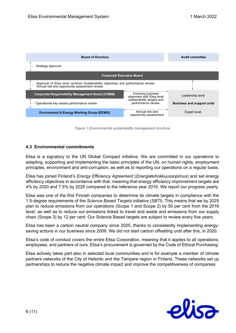

*Figure 1 Environmental sustainability management structure*

## <span id="page-5-0"></span>**4.3 Environmental commitments**

Elisa is a signatory to the UN Global Compact initiative. We are committed in our operations to adapting, supporting and implementing the basic principles of the UN, on human rights, employment principles, environment and anti-corruption, as well as to reporting our operations on a regular basis.

Elisa has joined Finland's *Energy Efficiency Agreement* (*Energiatehokkuussopimus*) and set energy efficiency objectives in accordance with that, meaning that energy efficiency improvement targets are 4% by 2020 and 7.5% by 2025 compared to the reference year 2016. We report our progress yearly.

Elisa was one of the first Finnish companies to determine its climate targets in compliance with the 1.5-degree requirements of the *Science Based Targets initiative* (*SBTi*). This means that we by 2025 plan to reduce emissions from our operations (Scope 1 and Scope 2) by 50 per cent from the 2016 level, as well as to reduce our emissions linked to travel and waste and emissions from our supply chain (Scope 3) by 12 per cent. Our Science Based targets are subject to review every five years.

Elisa has been a carbon neutral company since 2020, thanks to consistently implementing energysaving actions in our business since 2009. We did not start carbon offsetting until after this, in 2020.

Elisa's code of conduct covers the entire Elisa Corporation, meaning that it applies to all operations, employees, and partners of ours. Elisa's procurement is governed by the Code of Ethical Purchasing.

Elisa actively takes part also in selected local communities and is for example a member of climate partners networks of the City of Helsinki and the Tampere region in Finland. These networks set up partnerships to reduce the negative climate impact and improve the competitiveness of companies.

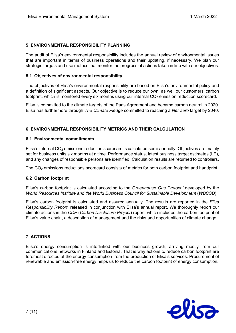## <span id="page-6-0"></span>**5 ENVIRONMENTAL RESPONSIBILITY PLANNING**

The audit of Elisa's environmental responsibility includes the annual review of environmental issues that are important in terms of business operations and their updating, if necessary. We plan our strategic targets and use metrics that monitor the progress of actions taken in line with our objectives.

## <span id="page-6-1"></span>**5.1 Objectives of environmental responsibility**

The objectives of Elisa's environmental responsibility are based on Elisa's environmental policy and a definition of significant aspects. Our objective is to reduce our own, as well our customers' carbon footprint, which is monitored every six months using our internal  $CO<sub>2</sub>$  emission reduction scorecard.

Elisa is committed to the climate targets of the Paris Agreement and became carbon neutral in 2020. Elisa has furthermore through *The Climate Pledge* committed to reaching a *Net Zero* target by 2040.

## <span id="page-6-2"></span>**6 ENVIRONMENTAL RESPONSIBILITY METRICS AND THEIR CALCULATION**

## <span id="page-6-3"></span>**6.1 Environmental commitments**

Elisa's internal  $CO<sub>2</sub>$  emissions reduction scorecard is calculated semi-annually. Objectives are mainly set for business units six months at a time. Performance status, latest business target estimates (LE), and any changes of responsible persons are identified. Calculation results are returned to controllers.

The  $CO<sub>2</sub>$  emissions reductions scorecard consists of metrics for both carbon footprint and handprint.

## <span id="page-6-4"></span>**6.2 Carbon footprint**

Elisa's carbon footprint is calculated according to the *Greenhouse Gas Protocol* developed by the *World Resources Institute and the World Business Council for Sustainable Development* (*WBCSD*).

Elisa's carbon footprint is calculated and assured annually. The results are reported in the *Elisa Responsibility Report*, released in conjunction with Elisa's annual report. We thoroughly report our climate actions in the *CDP* (*Carbon Disclosure Project*) report, which includes the carbon footprint of Elisa's value chain, a description of management and the risks and opportunities of climate change.

## <span id="page-6-5"></span>**7 ACTIONS**

Elisa's energy consumption is interlinked with our business growth, arriving mostly from our communications networks in Finland and Estonia. That is why actions to reduce carbon footprint are foremost directed at the energy consumption from the production of Elisa's services. Procurement of renewable and emission-free energy helps us to reduce the carbon footprint of energy consumption.

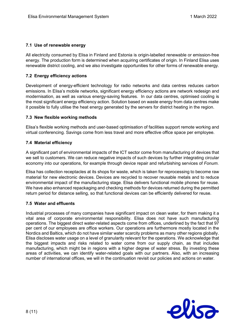## <span id="page-7-0"></span>**7.1 Use of renewable energy**

All electricity consumed by Elisa in Finland and Estonia is origin-labelled renewable or emission-free energy. The production form is determined when acquiring certificates of origin. In Finland Elisa uses renewable district cooling, and we also investigate opportunities for other forms of renewable energy.

## <span id="page-7-1"></span>**7.2 Energy efficiency actions**

Development of energy-efficient technology for radio networks and data centres reduces carbon emissions. In Elisa's mobile networks, significant energy efficiency actions are network redesign and modernisation, as well as various energy-saving features. In our data centres, optimised cooling is the most significant energy efficiency action. Solution based on waste energy from data centres make it possible to fully utilise the heat energy generated by the servers for district heating in the region.

## <span id="page-7-2"></span>**7.3 New flexible working methods**

Elisa's flexible working methods and user-based optimisation of facilities support remote working and virtual conferencing. Savings come from less travel and more effective office space per employee.

## <span id="page-7-3"></span>**7.4 Material efficiency**

A significant part of environmental impacts of the ICT sector come from manufacturing of devices that we sell to customers. We can reduce negative impacts of such devices by further integrating circular economy into our operations, for example through device repair and refurbishing services of *Fonum*.

Elisa has collection receptacles at its shops for waste, which is taken for reprocessing to become raw material for new electronic devices. Devices are recycled to recover reusable metals and to reduce environmental impact of the manufacturing stage. Elisa delivers functional mobile phones for reuse. We have also enhanced repackaging and checking methods for devices returned during the permitted return period for distance selling, so that functional devices can be efficiently delivered for reuse.

## <span id="page-7-4"></span>**7.5 Water and effluents**

Industrial processes of many companies have significant impact on clean water, for them making it a vital area of corporate environmental responsibility. Elisa does not have such manufacturing operations. The biggest direct water-related aspects come from offices, underlined by the fact that 97 per cent of our employees are office workers. Our operations are furthermore mostly located in the Nordics and Baltics, which do not have similar water scarcity problems as many other regions globally. Elisa discloses water usage on a level of granularity relevant for the operations. We acknowledge that the biggest impacts and risks related to water come from our supply chain, as that includes manufacturing, which might be in regions with a higher degree of water stress. By investing these areas of activities, we can identify water-related goals with our partners. Also, with an increasing number of international offices, we will in the continuation revisit our policies and actions on water.

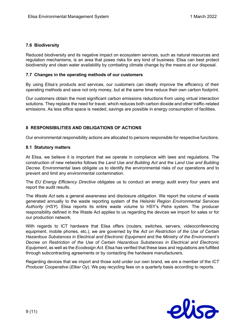## <span id="page-8-0"></span>**7.6 Biodiversity**

Reduced biodiversity and its negative impact on ecosystem services, such as natural resources and regulation mechanisms, is an area that poses risks for any kind of business. Elisa can best protect biodiversity and clean water availability by combating climate change by the means at our disposal.

## <span id="page-8-1"></span>**7.7 Changes in the operating methods of our customers**

By using Elisa's products and services, our customers can ideally improve the efficiency of their operating methods and save not only money, but at the same time reduce their own carbon footprint.

Our customers obtain the most significant carbon emissions reductions from using virtual interaction solutions. They replace the need for travel, which reduces both carbon dioxide and other traffic-related emissions. As less office space is needed, savings are possible in energy consumption of facilities.

## <span id="page-8-2"></span>**8 RESPONSIBILITIES AND OBLIGATIONS OF ACTIONS**

<span id="page-8-3"></span>Our environmental responsibility actions are allocated to persons responsible for respective functions.

## **8.1 Statutory matters**

At Elisa, we believe it is important that we operate in compliance with laws and regulations. The construction of new networks follows the *Land Use and Building Act* and the *Land Use and Building Decree*. Environmental laws obligate us to identify the environmental risks of our operations and to prevent and limit any environmental contamination.

The *EU Energy Efficiency Directive* obligates us to conduct an energy audit every four years and report the audit results.

The *Waste Act* sets a general awareness and disclosure obligation. We report the volume of waste generated annually to the waste reporting system of the *Helsinki Region Environmental Services Authority* (*HSY*). Elisa reports its entire waste volume to HSY's *Petra* system. The producer responsibility defined in the Waste Act applies to us regarding the devices we import for sales or for our production network.

With regards to ICT hardware that Elisa offers (routers, switches, servers, videoconferencing equipment, mobile phones, etc.), we are governed by the *Act on Restriction of the Use of Certain Hazardous Substances in Electrical and Electronic Equipment* and the *Ministry of the Environment's Decree on Restriction of the Use of Certain Hazardous Substances in Electrical and Electronic Equipment*, as well as the *Ecodesign Act*. Elisa has verified that these laws and regulations are fulfilled through subcontracting agreements or by contacting the hardware manufacturers.

Regarding devices that we import and those sold under our own brand, we are a member of the *ICT Producer Cooperative* (*Elker Oy*). We pay recycling fees on a quarterly basis according to reports.

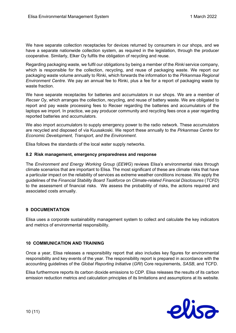We have separate collection receptacles for devices returned by consumers in our shops, and we have a separate nationwide collection system, as required in the legislation, through the producer cooperative. Similarly, Elker Oy fulfils the obligation of recycling and reuse.

Regarding packaging waste, we fulfil our obligations by being a member of the *Rinki* service company, which is responsible for the collection, recycling, and reuse of packaging waste. We report our packaging waste volume annually to Rinki, which forwards the information to the *Pirkanmaa Regional Environment Centre*. We pay an annual fee to Rinki, plus a fee for a report of packaging waste by waste fraction.

We have separate receptacles for batteries and accumulators in our shops. We are a member of *Recser Oy*, which arranges the collection, recycling, and reuse of battery waste. We are obligated to report and pay waste processing fees to Recser regarding the batteries and accumulators of the laptops we import. In practice, we pay producer community and recycling fees once a year regarding reported batteries and accumulators.

We also import accumulators to supply emergency power to the radio network. These accumulators are recycled and disposed of via Kuusakoski. We report these annually to the *Pirkanmaa Centre for Economic Development, Transport, and the Environment*.

Elisa follows the standards of the local water supply networks.

## <span id="page-9-0"></span>**8.2 Risk management, emergency preparedness and response**

The *Environment and Energy Working Group* (*EEWG*) reviews Elisa's environmental risks through climate scenarios that are important to Elisa. The most significant of these are climate risks that have a particular impact on the reliability of services as extreme weather conditions increase. We apply the guidelines of the *Financial Stability Board Taskforce* on *Climate-related Financial Disclosures* (*TCFD*) to the assessment of financial risks. We assess the probability of risks, the actions required and associated costs annually.

## <span id="page-9-1"></span>**9 DOCUMENTATION**

Elisa uses a corporate sustainability management system to collect and calculate the key indicators and metrics of environmental responsibility.

## <span id="page-9-2"></span>**10 COMMUNICATION AND TRAINING**

Once a year, Elisa releases a responsibility report that also includes key figures for environmental responsibility and key events of the year. The responsibility report is prepared in accordance with the accounting guidelines of the *Global Reporting Initiative* (*GRI*) Core requirements, *SASB*, and TCFD.

Elisa furthermore reports its carbon dioxide emissions to CDP. Elisa releases the results of its carbon emission reduction metrics and calculation principles of its limitations and assumptions at its website.